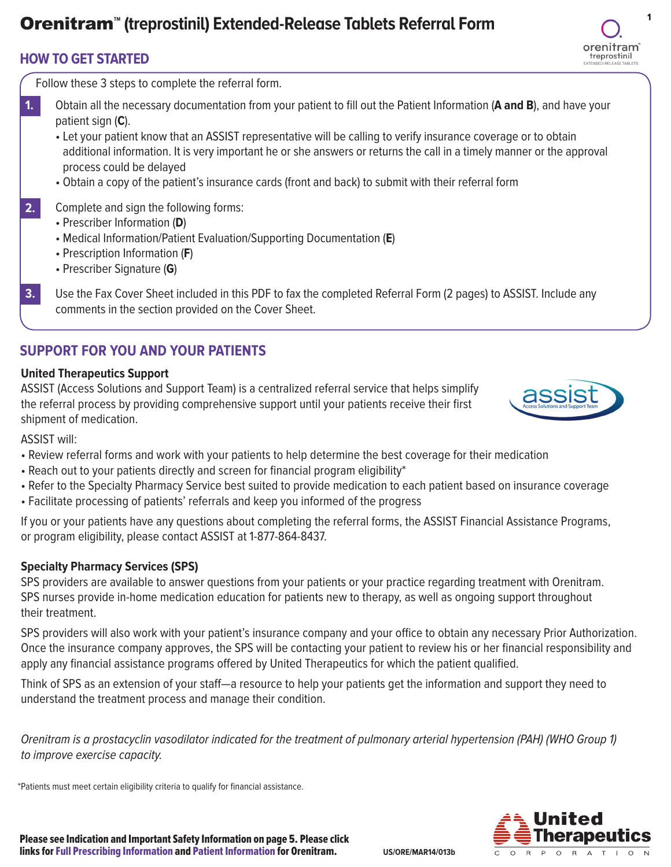# **Orenitram<sup>™</sup> (treprostinil) Extended-Release Tablets Referral Form**

## **HOW TO GET STARTED**

Follow these 3 steps to complete the referral form.

- Obtain all the necessary documentation from your patient to fill out the Patient Information (**A and B**), and have your patient sign (**C**). **1.**
	- Let your patient know that an ASSIST representative will be calling to verify insurance coverage or to obtain additional information. It is very important he or she answers or returns the call in a timely manner or the approval process could be delayed
	- Obtain a copy of the patient's insurance cards (front and back) to submit with their referral form
- Complete and sign the following forms: **2.**
	- Prescriber Information (**D**)
	- Medical Information/Patient Evaluation/Supporting Documentation (**E**)
	- Prescription Information (**F**)
	- Prescriber Signature (**G**)

# **SUPPORT FOR YOU AND YOUR PATIENTS**

## **United Therapeutics Support**

ASSIST (Access Solutions and Support Team) is a centralized referral service that helps simplify the referral process by providing comprehensive support until your patients receive their first shipment of medication.



ASSIST will:

- Review referral forms and work with your patients to help determine the best coverage for their medication
- Reach out to your patients directly and screen for financial program eligibility\*
- Refer to the Specialty Pharmacy Service best suited to provide medication to each patient based on insurance coverage
- Facilitate processing of patients' referrals and keep you informed of the progress

If you or your patients have any questions about completing the referral forms, the ASSIST Financial Assistance Programs, or program eligibility, please contact ASSIST at 1-877-864-8437.

## **Specialty Pharmacy Services (SPS)**

SPS providers are available to answer questions from your patients or your practice regarding treatment with Orenitram. SPS nurses provide in-home medication education for patients new to therapy, as well as ongoing support throughout their treatment.

SPS providers will also work with your patient's insurance company and your office to obtain any necessary Prior Authorization. Once the insurance company approves, the SPS will be contacting your patient to review his or her financial responsibility and apply any financial assistance programs offered by United Therapeutics for which the patient qualified.

Think of SPS as an extension of your staff—a resource to help your patients get the information and support they need to understand the treatment process and manage their condition.

Orenitram is a prostacyclin vasodilator indicated for the treatment of pulmonary arterial hypertension (PAH) (WHO Group 1) to improve exercise capacity.

\*Patients must meet certain eligibility criteria to qualify for financial assistance.



Please see Indication and Important Safety Information on page 5. Please click links fo[r Full Prescribing Information a](http://www.orenitram.com/pdf/Orenitram_Full_Prescribing_Information.pdf)nd [Patient Information f](http://www.orenitram.com/pdf/Orenitram_Patient_Information_20Dec2013.pdf)or Orenitram. **US/ORE/MAR14/013b** orenitram treprostinil

Use the Fax Cover Sheet included in this PDF to fax the completed Referral Form (2 pages) to ASSIST. Include any comments in the section provided on the Cover Sheet. **3.**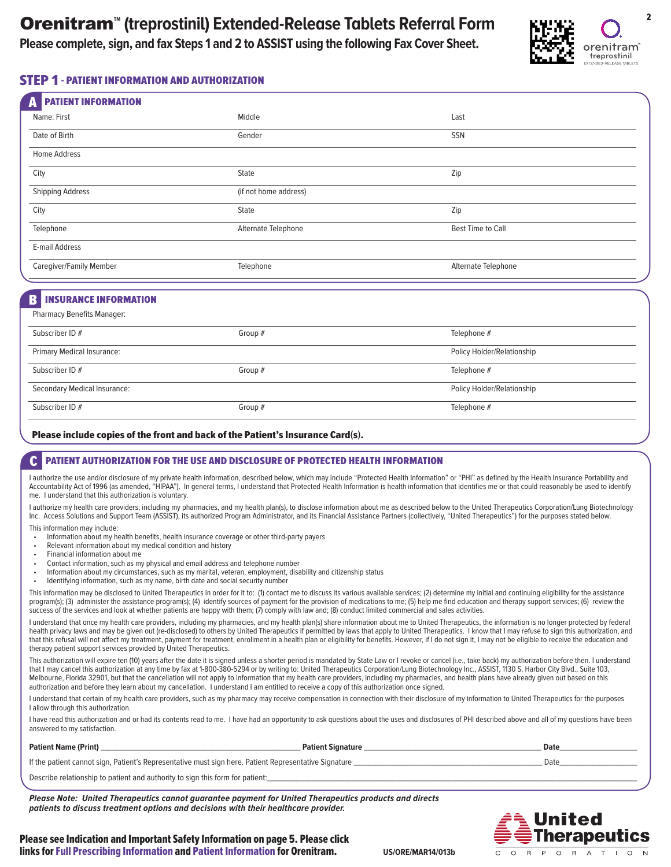**Please complete, sign, and fax Steps 1 and 2 to ASSIST using the following Fax Cover Sheet.** 



### STEP 1 - PATIENT INFORMATION AND AUTHORIZATION

| <b>PATIENT INFORMATION</b><br>A |                       |                          |  |
|---------------------------------|-----------------------|--------------------------|--|
| Name: First                     | Middle                | Last                     |  |
| Date of Birth                   | Gender                | SSN                      |  |
| Home Address                    |                       |                          |  |
| City                            | State                 | Zip                      |  |
| <b>Shipping Address</b>         | (if not home address) |                          |  |
| City                            | State                 | Zip                      |  |
| Telephone                       | Alternate Telephone   | <b>Best Time to Call</b> |  |
| E-mail Address                  |                       |                          |  |
| Caregiver/Family Member         | Telephone             | Alternate Telephone      |  |
|                                 |                       |                          |  |

### **INSURANCE INFORMATION**

Pharmacy Benefits Manager:

| <b>FIGHTIGLY DETEILS MONGULET.</b> |           |                            |
|------------------------------------|-----------|----------------------------|
| Subscriber ID #                    | Group #   | Telephone #                |
| <b>Primary Medical Insurance:</b>  |           | Policy Holder/Relationship |
| Subscriber ID #                    | Group $#$ | Telephone #                |
| Secondary Medical Insurance:       |           | Policy Holder/Relationship |
| Subscriber ID #                    | Group $#$ | Telephone #                |

#### Please include copies of the front and back of the Patient's Insurance Card(s).

### C PATIENT AUTHORIZATION FOR THE USE AND DISCLOSURE OF PROTECTED HEALTH INFORMATION

I authorize the use and/or disclosure of my private health information, described below, which may include "Protected Health Information" or "PHI" as defined by the Health Insurance Portability and Accountability Act of 1996 (as amended, "HIPAA"). In general terms, I understand that Protected Health Information is health information that identifies me or that could reasonably be used to identify me. I understand that this authorization is voluntary.

I authorize my health care providers, including my pharmacies, and my health plan(s), to disclose information about me as described below to the United Therapeutics Corporation/Lung Biotechnology Inc. Access Solutions and Support Team (ASSIST), its authorized Program Administrator, and its Financial Assistance Partners (collectively, "United Therapeutics") for the purposes stated below.

This information may include:

- Information about my health benefits, health insurance coverage or other third-party payers
- Relevant information about my medical condition and history
- Financial information about me
- Contact information, such as my physical and email address and telephone number
- Information about my circumstances, such as my marital, veteran, employment, disability and citizenship status
- Identifying information, such as my name, birth date and social security number

This information may be disclosed to United Therapeutics in order for it to: (1) contact me to discuss its various available services; (2) determine my initial and continuing eligibility for the assistance program(s); (3) administer the assistance program(s); (4) identify sources of payment for the provision of medications to me; (5) help me find education and therapy support services; (6) review the success of the services and look at whether patients are happy with them; (7) comply with law and; (8) conduct limited commercial and sales activities.

I understand that once my health care providers, including my pharmacies, and my health plan(s) share information about me to United Therapeutics, the information is no longer protected by federal health privacy laws and may be given out (re-disclosed) to others by United Therapeutics if permitted by laws that apply to United Therapeutics. I know that I may refuse to sign this authorization, and that this refusal will not affect my treatment, payment for treatment, enrollment in a health plan or eligibility for benefits. However, if I do not sign it, I may not be eligible to receive the education and therapy patient support services provided by United Therapeutics.

This authorization will expire ten (10) years after the date it is signed unless a shorter period is mandated by State Law or I revoke or cancel (i.e., take back) my authorization before then. I understand that I may cancel this authorization at any time by fax at 1-800-380-5294 or by writing to: United Therapeutics Corporation/Lung Biotechnology Inc., ASSIST, 1130 S. Harbor City Blvd., Suite 103, Melbourne, Florida 32901, but that the cancellation will not apply to information that my health care providers, including my pharmacies, and health plans have already given out based on this authorization and before they learn about my cancellation. I understand I am entitled to receive a copy of this authorization once signed.

I understand that certain of my health care providers, such as my pharmacy may receive compensation in connection with their disclosure of my information to United Therapeutics for the purposes I allow through this authorization.

I have read this authorization and or had its contents read to me. I have had an opportunity to ask questions about the uses and disclosures of PHI described above and all of my questions have been answered to my satisfaction.

| If the patient cannot sign, Patient's Representative must sign here. Patient Representative Signature |  |
|-------------------------------------------------------------------------------------------------------|--|
| Describe relationship to patient and authority to sign this form for patient:                         |  |

**Patient Name (Print)** \_\_\_\_\_\_\_\_\_\_\_\_\_\_\_\_\_\_\_\_\_\_\_\_\_\_\_\_\_\_\_\_\_\_\_\_\_\_\_\_\_\_\_\_\_\_\_\_\_\_\_\_\_\_ **Patient Signature** \_\_\_\_\_\_\_\_\_\_\_\_\_\_\_\_\_\_\_\_\_\_\_\_\_\_\_\_\_\_\_\_\_\_\_\_\_\_\_\_\_\_\_\_\_\_\_\_ **Date**\_\_\_\_\_\_\_\_\_\_\_\_\_\_\_\_\_\_\_\_\_

**Please Note: United Therapeutics cannot guarantee payment for United Therapeutics products and directs patients to discuss treatment options and decisions with their healthcare provider.**



Please see Indication and Important Safety Information on page 5. Please click links fo[r Full Prescribing Information](http://www.orenitram.com/pdf/Orenitram_Full_Prescribing_Information.pdf) an[d Patient Information](http://www.orenitram.com/pdf/Orenitram_Patient_Information_20Dec2013.pdf) for Orenitram.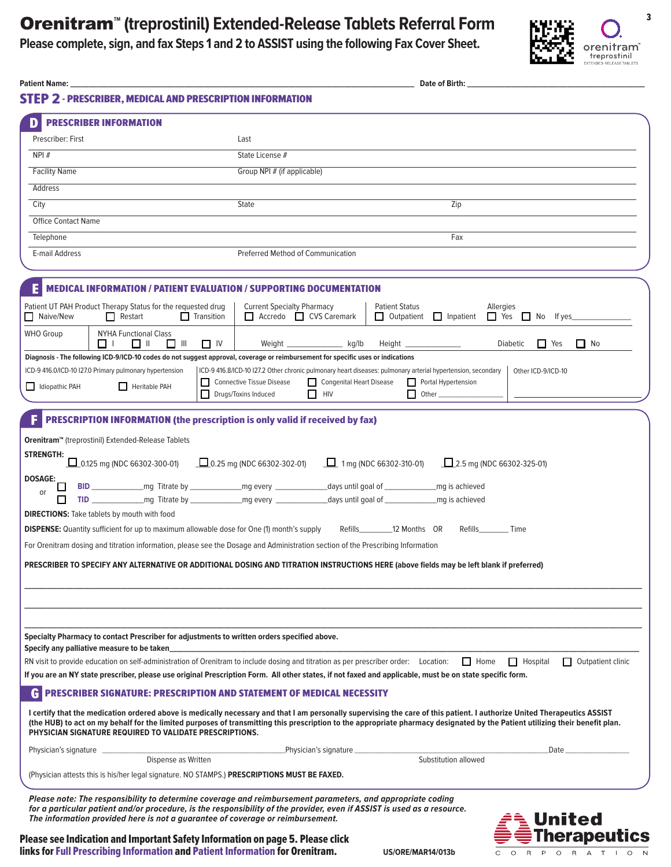# Orenitram<sup>™</sup> (treprostinil) Extended-Release Tablets Referral Form

**Please complete, sign, and fax Steps 1 and 2 to ASSIST using the following Fax Cover Sheet.** 



| Patient Name: J                                                                                                                                                  | Date of Birth:                                                                                                                                                                                                                                                                                                                                                                                                                           |
|------------------------------------------------------------------------------------------------------------------------------------------------------------------|------------------------------------------------------------------------------------------------------------------------------------------------------------------------------------------------------------------------------------------------------------------------------------------------------------------------------------------------------------------------------------------------------------------------------------------|
| <b>STEP 2 - PRESCRIBER, MEDICAL AND PRESCRIPTION INFORMATION</b>                                                                                                 |                                                                                                                                                                                                                                                                                                                                                                                                                                          |
| <b>PRESCRIBER INFORMATION</b>                                                                                                                                    |                                                                                                                                                                                                                                                                                                                                                                                                                                          |
| Prescriber: First                                                                                                                                                | Last                                                                                                                                                                                                                                                                                                                                                                                                                                     |
| NPI#                                                                                                                                                             | State License #                                                                                                                                                                                                                                                                                                                                                                                                                          |
| <b>Facility Name</b>                                                                                                                                             | Group NPI # (if applicable)                                                                                                                                                                                                                                                                                                                                                                                                              |
| Address                                                                                                                                                          |                                                                                                                                                                                                                                                                                                                                                                                                                                          |
| City                                                                                                                                                             | State<br>Zip                                                                                                                                                                                                                                                                                                                                                                                                                             |
| <b>Office Contact Name</b>                                                                                                                                       |                                                                                                                                                                                                                                                                                                                                                                                                                                          |
| Telephone                                                                                                                                                        | Fax                                                                                                                                                                                                                                                                                                                                                                                                                                      |
| E-mail Address                                                                                                                                                   | <b>Preferred Method of Communication</b>                                                                                                                                                                                                                                                                                                                                                                                                 |
|                                                                                                                                                                  | <b>MEDICAL INFORMATION / PATIENT EVALUATION / SUPPORTING DOCUMENTATION</b>                                                                                                                                                                                                                                                                                                                                                               |
| Patient UT PAH Product Therapy Status for the requested drug<br>$\prod$ Transition<br>Naive/New<br>$\Box$ Restart                                                | <b>Current Specialty Pharmacy</b><br><b>Patient Status</b><br>Allergies<br>Accredo CVS Caremark<br>□ Outpatient □ Inpatient □ Yes □ No If yes                                                                                                                                                                                                                                                                                            |
| <b>WHO Group</b><br><b>NYHA Functional Class</b><br>□ Ⅲ<br>□□<br>□ ‼                                                                                             | $\Box$ Yes<br>$\Box$ No<br>$\Box$ IV<br>Weight ___________________ kg/lb<br>Height _________________<br>Diabetic                                                                                                                                                                                                                                                                                                                         |
| ICD-9 416.0/ICD-10 I27.0 Primary pulmonary hypertension                                                                                                          | Diagnosis - The following ICD-9/ICD-10 codes do not suggest approval, coverage or reimbursement for specific uses or indications<br>ICD-9 416.8/ICD-10 I27.2 Other chronic pulmonary heart diseases: pulmonary arterial hypertension, secondary<br>Other ICD-9/ICD-10                                                                                                                                                                    |
| Idiopathic PAH<br>Heritable PAH                                                                                                                                  | Connective Tissue Disease<br>Congenital Heart Disease<br>Portal Hypertension                                                                                                                                                                                                                                                                                                                                                             |
|                                                                                                                                                                  | Drugs/Toxins Induced<br>$\Box$ HIV                                                                                                                                                                                                                                                                                                                                                                                                       |
| <b>DIRECTIONS:</b> Take tablets by mouth with food<br><b>DISPENSE:</b> Quantity sufficient for up to maximum allowable dose for One (1) month's supply           | Refills 12 Months OR<br>Refills Time<br>For Orenitram dosing and titration information, please see the Dosage and Administration section of the Prescribing Information<br>PRESCRIBER TO SPECIFY ANY ALTERNATIVE OR ADDITIONAL DOSING AND TITRATION INSTRUCTIONS HERE (above fields may be left blank if preferred)                                                                                                                      |
| Specialty Pharmacy to contact Prescriber for adjustments to written orders specified above.<br>Specify any palliative measure to be taken                        | RN visit to provide education on self-administration of Orenitram to include dosing and titration as per prescriber order: Location:<br>$\Box$ Home<br>$\Box$ Hospital<br>$\Box$ Outpatient clinic<br>If you are an NY state prescriber, please use original Prescription Form. All other states, if not faxed and applicable, must be on state specific form.                                                                           |
| PHYSICIAN SIGNATURE REQUIRED TO VALIDATE PRESCRIPTIONS.                                                                                                          | <b>PRESCRIBER SIGNATURE: PRESCRIPTION AND STATEMENT OF MEDICAL NECESSITY</b><br>I certify that the medication ordered above is medically necessary and that I am personally supervising the care of this patient. I authorize United Therapeutics ASSIST<br>(the HUB) to act on my behalf for the limited purposes of transmitting this prescription to the appropriate pharmacy designated by the Patient utilizing their benefit plan. |
| Physician's signature                                                                                                                                            | Date<br>_Physician's signature _                                                                                                                                                                                                                                                                                                                                                                                                         |
| Dispense as Written                                                                                                                                              | Substitution allowed                                                                                                                                                                                                                                                                                                                                                                                                                     |
| (Physician attests this is his/her legal signature. NO STAMPS.) PRESCRIPTIONS MUST BE FAXED.                                                                     |                                                                                                                                                                                                                                                                                                                                                                                                                                          |
| The information provided here is not a guarantee of coverage or reimbursement.<br>Please see Indication and Important Safety Information on page 5. Please click | Please note: The responsibility to determine coverage and reimbursement parameters, and appropriate coding<br>for a particular patient and/or procedure, is the responsibility of the provider, even if ASSIST is used as a resource.<br>United<br><b>Therapeutics</b>                                                                                                                                                                   |

Please see Indication and Important Safety Information on page 5. Please click links fo[r Full Prescribing Information a](http://www.orenitram.com/pdf/Orenitram_Full_Prescribing_Information.pdf)nd [Patient Information f](http://www.orenitram.com/pdf/Orenitram_Patient_Information_20Dec2013.pdf)or Orenitram. **US/ORE/MAR14/013b** 

 $\mathsf{C}$ 

O R P O R A T | O N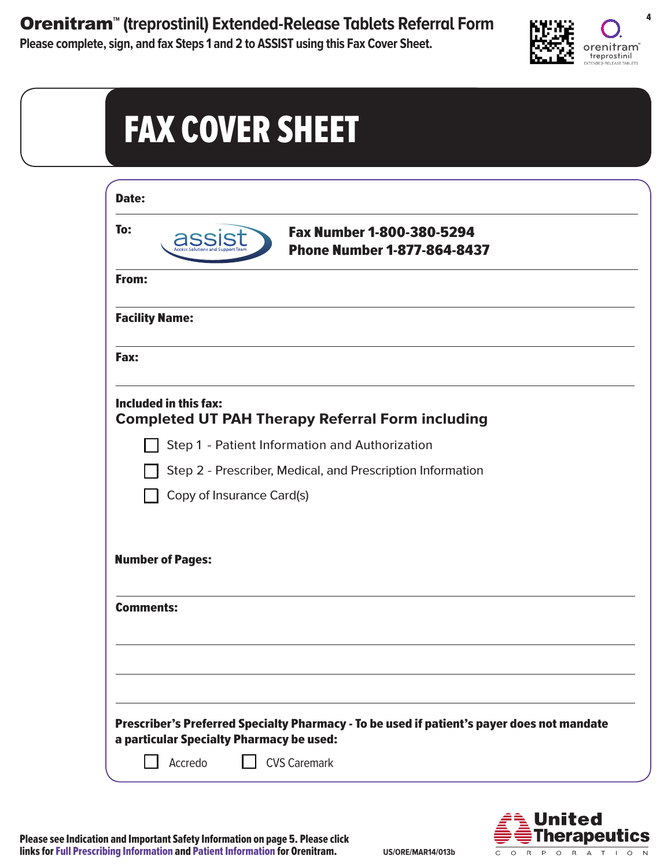**Orenitram<sup>®</sup> (treprostinil) Extended-Release Tablets Referral Form Fig. 4** 

**Please complete, sign, and fax Steps 1 and 2 to ASSIST using this Fax Cover Sheet.** 



| Date:                     |                                                                 |
|---------------------------|-----------------------------------------------------------------|
| To:<br>assist             | Fax Number 1-800-380-5294<br><b>Phone Number 1-877-864-8437</b> |
| From:                     |                                                                 |
| <b>Facility Name:</b>     |                                                                 |
| Fax:                      |                                                                 |
| Included in this fax:     | <b>Completed UT PAH Therapy Referral Form including</b>         |
|                           | Step 1 - Patient Information and Authorization                  |
|                           | Step 2 - Prescriber, Medical, and Prescription Information      |
| Copy of Insurance Card(s) |                                                                 |
| <b>Number of Pages:</b>   |                                                                 |
| <b>Comments:</b>          |                                                                 |
|                           |                                                                 |
|                           |                                                                 |
|                           |                                                                 |